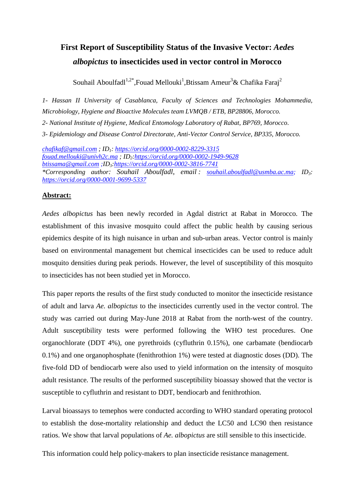# **First Report of Susceptibility Status of the Invasive Vector:** *Aedes albopictus* **to insecticides used in vector control in Morocco**

Souhail Aboulfadl<sup>1,2\*</sup>,Fouad Mellouki<sup>1</sup>,Btissam Ameur<sup>3</sup>& Chafika Faraj<sup>2</sup>

*1- Hassan II University of Casablanca, Faculty of Sciences and Technologies Mohammedia, Microbiology, Hygiene and Bioactive Molecules team LVMQB / ETB, BP28806, Morocco. 2- National Institute of Hygiene, Medical Entomology Laboratory of Rabat, BP769, Morocco. 3- Epidemiology and Disease Control Directorate, Anti-Vector Control Service, BP335, Morocco.*

*[chafikaf@gmail.com](mailto:souhail.aboulfadl@etu.fstm.ac.ma) ; ID1:<https://orcid.org/0000-0002-8229-3315> [fouad.mellouki@univh2c.ma](mailto:fouad.mellouki@univh2c.ma) ; ID2[:https://orcid.org/0000-0002-1949-9628](https://orcid.org/0000-0002-1949-9628) [btissama@gmail.com](mailto:btissama@gmail.com) ;ID3[:https://orcid.org/0000-0002-3816-7741](https://orcid.org/0000-0002-3816-7741) \*Corresponding author: Souhail Aboulfadl*, *email : [souhail.aboulfadl@usmba.ac.m](mailto:souhail.aboulfadl@usmba.ac.)a; ID3: <https://orcid.org/0000-0001-9699-5337>*

# **Abstract:**

*Aedes albopictus* has been newly recorded in Agdal district at Rabat in Morocco. The establishment of this invasive mosquito could affect the public health by causing serious epidemics despite of its high nuisance in urban and sub-urban areas. Vector control is mainly based on environmental management but chemical insecticides can be used to reduce adult mosquito densities during peak periods. However, the level of susceptibility of this mosquito to insecticides has not been studied yet in Morocco.

This paper reports the results of the first study conducted to monitor the insecticide resistance of adult and larva *Ae. albopictus* to the insecticides currently used in the vector control. The study was carried out during May-June 2018 at Rabat from the north-west of the country. Adult susceptibility tests were performed following the WHO test procedures. One organochlorate (DDT 4%), one pyrethroids (cyfluthrin 0.15%), one carbamate (bendiocarb 0.1%) and one organophosphate (fenithrothion 1%) were tested at diagnostic doses (DD). The five-fold DD of bendiocarb were also used to yield information on the intensity of mosquito adult resistance. The results of the performed susceptibility bioassay showed that the vector is susceptible to cyfluthrin and resistant to DDT, bendiocarb and fenithrothion.

Larval bioassays to temephos were conducted according to WHO standard operating protocol to establish the dose-mortality relationship and deduct the LC50 and LC90 then resistance ratios. We show that larval populations of *Ae. albopictus* are still sensible to this insecticide.

This information could help policy-makers to plan insecticide resistance management.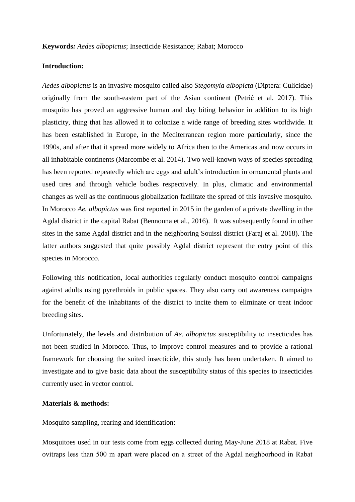# **Introduction:**

*Aedes albopictus* is an invasive mosquito called also *Stegomyia albopicta* (Diptera: Culicidae) originally from the south-eastern part of the Asian continent (Petrić et al. 2017). This mosquito has proved an aggressive human and day biting behavior in addition to its high plasticity, thing that has allowed it to colonize a wide range of breeding sites worldwide. It has been established in Europe, in the Mediterranean region more particularly, since the 1990s, and after that it spread more widely to Africa then to the Americas and now occurs in all inhabitable continents (Marcombe et al. 2014). Two well-known ways of species spreading has been reported repeatedly which are eggs and adult's introduction in ornamental plants and used tires and through vehicle bodies respectively. In plus, climatic and environmental changes as well as the continuous globalization facilitate the spread of this invasive mosquito. In Morocco *Ae. albopictus* was first reported in 2015 in the garden of a private dwelling in the Agdal district in the capital Rabat (Bennouna et al., 2016). It was subsequently found in other sites in the same Agdal district and in the neighboring Souissi district (Faraj et al. 2018). The latter authors suggested that quite possibly Agdal district represent the entry point of this species in Morocco.

Following this notification, local authorities regularly conduct mosquito control campaigns against adults using pyrethroids in public spaces. They also carry out awareness campaigns for the benefit of the inhabitants of the district to incite them to eliminate or treat indoor breeding sites.

Unfortunately, the levels and distribution of *Ae. albopictus* susceptibility to insecticides has not been studied in Morocco. Thus, to improve control measures and to provide a rational framework for choosing the suited insecticide, this study has been undertaken. It aimed to investigate and to give basic data about the susceptibility status of this species to insecticides currently used in vector control.

## **Materials & methods:**

## Mosquito sampling, rearing and identification:

Mosquitoes used in our tests come from eggs collected during May-June 2018 at Rabat. Five ovitraps less than 500 m apart were placed on a street of the Agdal neighborhood in Rabat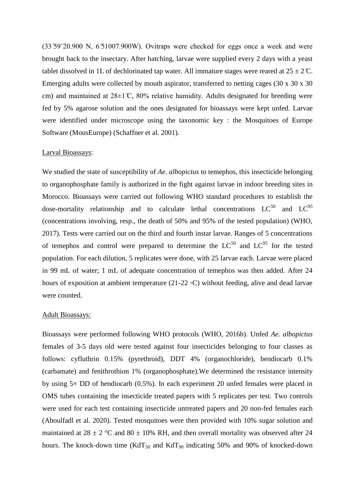$(33\degree59\degree20.900$  N,  $6\degree51007.900$ W). Ovitraps were checked for eggs once a week and were brought back to the insectary. After hatching, larvae were supplied every 2 days with a yeast tablet dissolved in 1L of dechlorinated tap water. All immature stages were reared at  $25 \pm 2^{\circ}$ C. Emerging adults were collected by mouth aspirator, transferred to netting cages (30 x 30 x 30 cm) and maintained at  $28\pm1$  °C, 80% relative humidity. Adults designated for breeding were fed by 5% agarose solution and the ones designated for bioassays were kept unfed. Larvae were identified under microscope using the taxonomic key : the Mosquitoes of Europe Software (MousEurope) (Schaffner et al. 2001).

# Larval Bioassays:

We studied the state of susceptibility of *Ae. albopictus* to temephos, this insecticide belonging to organophosphate family is authorized in the fight against larvae in indoor breeding sites in Morocco. Bioassays were carried out following WHO standard procedures to establish the dose-mortality relationship and to calculate lethal concentrations  $LC^{50}$  and  $LC^{95}$ (concentrations involving, resp., the death of 50% and 95% of the tested population) (WHO, 2017). Tests were carried out on the third and fourth instar larvae. Ranges of 5 concentrations of temephos and control were prepared to determine the  $LC^{50}$  and  $LC^{95}$  for the tested population. For each dilution, 5 replicates were done, with 25 larvae each. Larvae were placed in 99 mL of water; 1 mL of adequate concentration of temephos was then added. After 24 hours of exposition at ambient temperature (21-22 *◦*C) without feeding, alive and dead larvae were counted.

#### Adult Bioassays:

Bioassays were performed following WHO protocols (WHO, 2016b). Unfed *Ae. albopictus* females of 3-5 days old were tested against four insecticides belonging to four classes as follows: cyfluthrin 0.15% (pyrethroid), DDT 4% (organochloride), bendiocarb 0.1% (carbamate) and fenithrothion 1% (organophosphate).We determined the resistance intensity by using  $5\times$  DD of bendiocarb (0.5%). In each experiment 20 unfed females were placed in OMS tubes containing the insecticide treated papers with 5 replicates per test. Two controls were used for each test containing insecticide untreated papers and 20 non-fed females each (Aboulfadl et al. 2020). Tested mosquitoes were then provided with 10% sugar solution and maintained at  $28 \pm 2$  °C and  $80 \pm 10$ % RH, and then overall mortality was observed after 24 hours. The knock-down time  $(KdT_{50}$  and  $KdT_{90}$  indicating 50% and 90% of knocked-down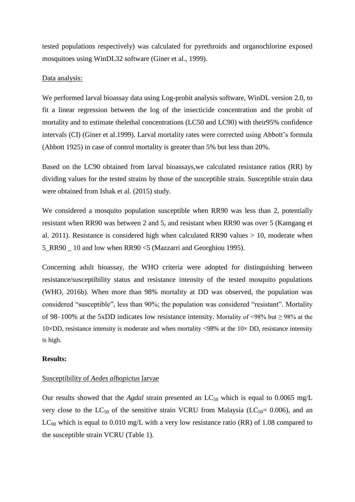tested populations respectively) was calculated for pyrethroids and organochlorine exposed mosquitoes using WinDL32 software (Giner et al., 1999).

#### Data analysis:

We performed larval bioassay data using Log-probit analysis software, WinDL version 2.0, to fit a linear regression between the log of the insecticide concentration and the probit of mortality and to estimate thelethal concentrations (LC50 and LC90) with their95% confidence intervals (CI) (Giner et al.1999). Larval mortality rates were corrected using Abbott's formula (Abbott 1925) in case of control mortality is greater than 5% but less than 20%.

Based on the LC90 obtained from larval bioassays,we calculated resistance ratios (RR) by dividing values for the tested strains by those of the susceptible strain. Susceptible strain data were obtained from Ishak et al. (2015) study.

We considered a mosquito population susceptible when RR90 was less than 2, potentially resistant when RR90 was between 2 and 5, and resistant when RR90 was over 5 (Kamgang et al. 2011). Resistance is considered high when calculated RR90 values  $> 10$ , moderate when 5\_RR90 \_ 10 and low when RR90 <5 (Mazzarri and Georghiou 1995).

Concerning adult bioassay, the WHO criteria were adopted for distinguishing between resistance/susceptibility status and resistance intensity of the tested mosquito populations (WHO, 2016b). When more than 98% mortality at DD was observed, the population was considered "susceptible", less than 90%; the population was considered "resistant". Mortality of 98–100% at the 5xDD indicates low resistance intensity. Mortality of <98% but  $\geq$  98% at the 10×DD, resistance intensity is moderate and when mortality <98% at the  $10\times$  DD, resistance intensity is high.

## **Results:**

## Susceptibility of *Aedes albopictus* larvae

Our results showed that the *Agdal* strain presented an  $LC_{50}$  which is equal to 0.0065 mg/L very close to the  $LC_{50}$  of the sensitive strain VCRU from Malaysia ( $LC_{50}= 0.006$ ), and an  $LC_{90}$  which is equal to 0.010 mg/L with a very low resistance ratio (RR) of 1.08 compared to the susceptible strain VCRU (Table 1).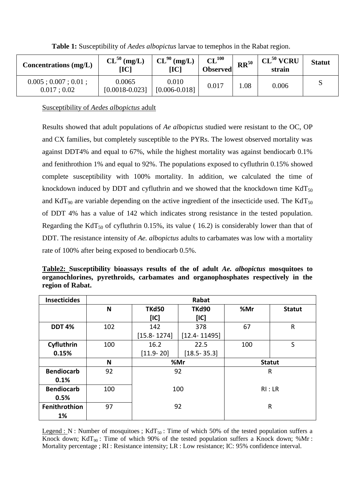| Concentrations $(mg/L)$                    | $CL^{50}$ (mg/L)<br>$\bf{IC}$ | $CL^{90}$ (mg/L)<br>$\bf{IC}$ | CL <sup>100</sup><br><b>Observed</b> | $RR^{50}$ | $CL^{50}$ VCRU<br>strain | <b>Statut</b> |
|--------------------------------------------|-------------------------------|-------------------------------|--------------------------------------|-----------|--------------------------|---------------|
| $0.005$ ; $0.007$ ; $0.01$ ;<br>0.017:0.02 | 0.0065<br>$[0.0018 - 0.023]$  | 0.010<br>$[0.006 - 0.018]$    | 0.017                                | .08       | 0.006                    |               |

**Table 1:** Susceptibility of *Aedes albopictus* larvae to temephos in the Rabat region.

Susceptibility of *Aedes albopictus* adult

Results showed that adult populations of *Ae albopictus* studied were resistant to the OC, OP and CX families, but completely susceptible to the PYRs. The lowest observed mortality was against DDT4% and equal to 67%, while the highest mortality was against bendiocarb 0.1% and fenithrothion 1% and equal to 92%. The populations exposed to cyfluthrin 0.15% showed complete susceptibility with 100% mortality. In addition, we calculated the time of knockdown induced by DDT and cyfluthrin and we showed that the knockdown time  $KdT_{50}$ and KdT<sub>90</sub> are variable depending on the active ingredient of the insecticide used. The KdT<sub>50</sub> of DDT 4% has a value of 142 which indicates strong resistance in the tested population. Regarding the KdT<sub>50</sub> of cyfluthrin 0.15%, its value ( 16.2) is considerably lower than that of DDT. The resistance intensity of *Ae. albopictus* adults to carbamates was low with a mortality rate of 100% after being exposed to bendiocarb 0.5%.

**Table2: Susceptibility bioassays results of the of adult** *Ae. albopictus* **mosquitoes to organochlorines, pyrethroids, carbamates and organophosphates respectively in the region of Rabat.**

| <b>Insecticides</b> | Rabat |                 |                  |               |               |  |  |
|---------------------|-------|-----------------|------------------|---------------|---------------|--|--|
|                     | N     | <b>TKd50</b>    | <b>TKd90</b>     | %Mr           | <b>Statut</b> |  |  |
|                     |       | [IC]            | [IC]             |               |               |  |  |
| <b>DDT 4%</b>       | 102   | 142             | 378              | 67            | $\mathsf{R}$  |  |  |
|                     |       | $[15.8 - 1274]$ | $[12.4 - 11495]$ |               |               |  |  |
| Cyfluthrin          | 100   | 16.2            | 22.5             | 100           | S             |  |  |
| 0.15%               |       | $[11.9 - 20]$   | $[18.5 - 35.3]$  |               |               |  |  |
|                     |       | %Mr             |                  | <b>Statut</b> |               |  |  |
|                     | N     |                 |                  |               |               |  |  |
| <b>Bendiocarb</b>   | 92    |                 | 92               |               | $\mathsf{R}$  |  |  |
| 0.1%                |       |                 |                  |               |               |  |  |
| <b>Bendiocarb</b>   | 100   |                 | 100              |               | RI:LR         |  |  |
| 0.5%                |       |                 |                  |               |               |  |  |
| Fenithrothion       | 97    |                 | 92               |               | $\mathsf R$   |  |  |

Legend : N : Number of mosquitoes ;  $KdT_{50}$  : Time of which 50% of the tested population suffers a Knock down; KdT<sub>90</sub>: Time of which 90% of the tested population suffers a Knock down; %Mr: Mortality percentage ; RI : Resistance intensity; LR : Low resistance; IC: 95% confidence interval.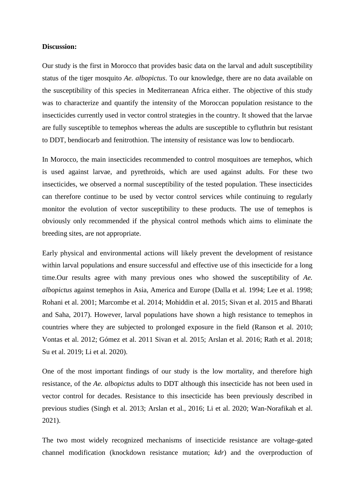#### **Discussion:**

Our study is the first in Morocco that provides basic data on the larval and adult susceptibility status of the tiger mosquito *Ae. albopictus*. To our knowledge, there are no data available on the susceptibility of this species in Mediterranean Africa either. The objective of this study was to characterize and quantify the intensity of the Moroccan population resistance to the insecticides currently used in vector control strategies in the country. It showed that the larvae are fully susceptible to temephos whereas the adults are susceptible to cyfluthrin but resistant to DDT, bendiocarb and fenitrothion. The intensity of resistance was low to bendiocarb.

In Morocco, the main insecticides recommended to control mosquitoes are temephos, which is used against larvae, and pyrethroids, which are used against adults. For these two insecticides, we observed a normal susceptibility of the tested population. These insecticides can therefore continue to be used by vector control services while continuing to regularly monitor the evolution of vector susceptibility to these products. The use of temephos is obviously only recommended if the physical control methods which aims to eliminate the breeding sites, are not appropriate.

Early physical and environmental actions will likely prevent the development of resistance within larval populations and ensure successful and effective use of this insecticide for a long time.Our results agree with many previous ones who showed the susceptibility of *Ae. albopictus* against temephos in Asia, America and Europe (Dalla et al. 1994; Lee et al. 1998; Rohani et al. 2001; Marcombe et al. 2014; Mohiddin et al. 2015; Sivan et al. 2015 and Bharati and Saha, 2017). However, larval populations have shown a high resistance to temephos in countries where they are subjected to prolonged exposure in the field (Ranson et al. 2010; Vontas et al. 2012; Gómez et al. 2011 Sivan et al. 2015; Arslan et al. 2016; Rath et al. 2018; Su et al. 2019; Li et al. 2020).

One of the most important findings of our study is the low mortality, and therefore high resistance, of the *Ae. albopictus* adults to DDT although this insecticide has not been used in vector control for decades. Resistance to this insecticide has been previously described in previous studies (Singh et al. 2013; Arslan et al., 2016; Li et al. 2020; Wan-Norafikah et al. 2021).

The two most widely recognized mechanisms of insecticide resistance are voltage-gated channel modification (knockdown resistance mutation; *kdr*) and the overproduction of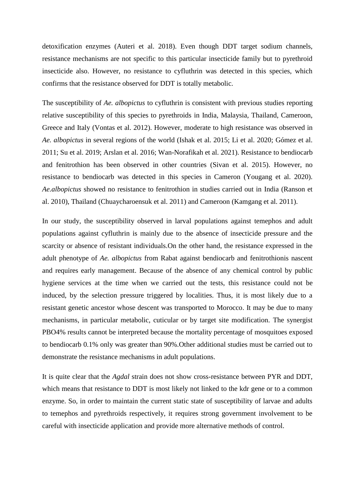detoxification enzymes (Auteri et al. 2018). Even though DDT target sodium channels, resistance mechanisms are not specific to this particular insecticide family but to pyrethroid insecticide also. However, no resistance to cyfluthrin was detected in this species, which confirms that the resistance observed for DDT is totally metabolic.

The susceptibility of *Ae. albopictus* to cyfluthrin is consistent with previous studies reporting relative susceptibility of this species to pyrethroids in India, Malaysia, Thailand, Cameroon, Greece and Italy (Vontas et al. 2012). However, moderate to high resistance was observed in *Ae. albopictus* in several regions of the world (Ishak et al. 2015; Li et al. 2020; Gómez et al. 2011; Su et al. 2019; Arslan et al. 2016; Wan-Norafikah et al. 2021). Resistance to bendiocarb and fenitrothion has been observed in other countries (Sivan et al. 2015). However, no resistance to bendiocarb was detected in this species in Cameron (Yougang et al. 2020). *Ae.albopictus* showed no resistance to fenitrothion in studies carried out in India (Ranson et al. 2010), Thailand (Chuaycharoensuk et al. 2011) and Cameroon (Kamgang et al. 2011).

In our study, the susceptibility observed in larval populations against temephos and adult populations against cyfluthrin is mainly due to the absence of insecticide pressure and the scarcity or absence of resistant individuals.On the other hand, the resistance expressed in the adult phenotype of *Ae. albopictus* from Rabat against bendiocarb and fenitrothionis nascent and requires early management. Because of the absence of any chemical control by public hygiene services at the time when we carried out the tests, this resistance could not be induced, by the selection pressure triggered by localities. Thus, it is most likely due to a resistant genetic ancestor whose descent was transported to Morocco. It may be due to many mechanisms, in particular metabolic, cuticular or by target site modification. The synergist PBO4% results cannot be interpreted because the mortality percentage of mosquitoes exposed to bendiocarb 0.1% only was greater than 90%.Other additional studies must be carried out to demonstrate the resistance mechanisms in adult populations.

It is quite clear that the *Agdal* strain does not show cross-resistance between PYR and DDT, which means that resistance to DDT is most likely not linked to the kdr gene or to a common enzyme. So, in order to maintain the current static state of susceptibility of larvae and adults to temephos and pyrethroids respectively, it requires strong government involvement to be careful with insecticide application and provide more alternative methods of control.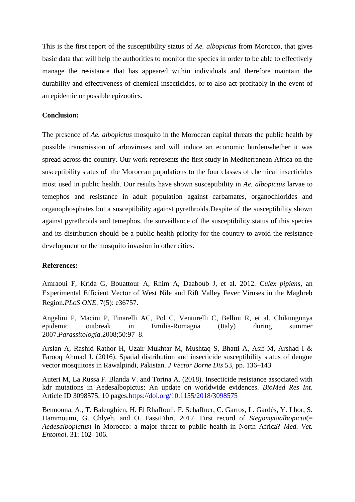This is the first report of the susceptibility status of *Ae. albopictus* from Morocco, that gives basic data that will help the authorities to monitor the species in order to be able to effectively manage the resistance that has appeared within individuals and therefore maintain the durability and effectiveness of chemical insecticides, or to also act profitably in the event of an epidemic or possible epizootics.

# **Conclusion:**

The presence of *Ae. albopictus* mosquito in the Moroccan capital threats the public health by possible transmission of arboviruses and will induce an economic burdenwhether it was spread across the country. Our work represents the first study in Mediterranean Africa on the susceptibility status of the Moroccan populations to the four classes of chemical insecticides most used in public health. Our results have shown susceptibility in *Ae. albopictus* larvae to temephos and resistance in adult population against carbamates, organochlorides and organophosphates but a susceptibility against pyrethroids.Despite of the susceptibility shown against pyrethroids and temephos, the surveillance of the susceptibility status of this species and its distribution should be a public health priority for the country to avoid the resistance development or the mosquito invasion in other cities.

# **References:**

Amraoui F, Krida G, Bouattour A, Rhim A, Daaboub J, et al. 2012. *Culex pipiens*, an Experimental Efficient Vector of West Nile and Rift Valley Fever Viruses in the Maghreb Region.*PLoS ONE*. 7(5): e36757.

Angelini P, Macini P, Finarelli AC, Pol C, Venturelli C, Bellini R, et al. Chikungunya epidemic outbreak in Emilia-Romagna (Italy) during summer 2007.*Parassitologia.*2008;50:97–8.

Arslan A, Rashid Rathor H, Uzair Mukhtar M, Mushtaq S, Bhatti A, Asif M, Arshad I & Farooq Ahmad J. (2016). Spatial distribution and insecticide susceptibility status of dengue vector mosquitoes in Rawalpindi, Pakistan. *J Vector Borne Dis* 53, pp. 136–143

Auteri M, La Russa F. Blanda V. and Torina A. (2018). Insecticide resistance associated with kdr mutations in Aedesalbopictus: An update on worldwide evidences. *BioMed Res Int*. Article ID 3098575, 10 pages[.https://doi.org/10.1155/2018/3098575](https://doi.org/10.1155/2018/3098575)

Bennouna, A., T. Balenghien, H. El Rhaffouli, F. Schaffner, C. Garros, L. Gardès, Y. Lhor, S. Hammoumi, G. Chlyeh, and O. FassiFihri. 2017. First record of *Stegomyiaalbopicta*(= *Aedesalbopictus*) in Morocco: a major threat to public health in North Africa? *Med. Vet. Entomol.* 31: 102–106.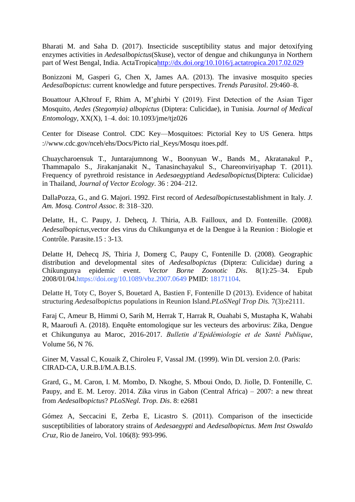Bharati M. and Saha D. (2017). Insecticide susceptibility status and major detoxifying enzymes activities in *Aedesalbopictus*(Skuse), vector of dengue and chikungunya in Northern part of West Bengal, India. ActaTropic[ahttp://dx.doi.org/10.1016/j.actatropica.2017.02.029](http://dx.doi.org/10.1016/j.actatropica.2017.02.029)

Bonizzoni M, Gasperi G, Chen X, James AA. (2013). The invasive mosquito species *Aedesalbopictus*: current knowledge and future perspectives. *Trends Parasitol*. 29:460–8.

Bouattour A, Khrouf F, Rhim A, M'ghirbi Y (2019). First Detection of the Asian Tiger Mosquito, *Aedes (Stegomyia) albopictus* (Diptera: Culicidae), in Tunisia. *Journal of Medical Entomology,* XX(X), 1–4. doi: 10.1093/jme/tjz026

Center for Disease Control. CDC Key—Mosquitoes: Pictorial Key to US Genera. https ://www.cdc.gov/nceh/ehs/Docs/Picto rial\_Keys/Mosqu itoes.pdf.

Chuaycharoensuk T., Juntarajumnong W., Boonyuan W., Bands M., Akratanakul P., Thammapalo S., Jirakanjanakit N., Tanasinchayakul S., Chareonviriyaphap T. (2011). Frequency of pyrethroid resistance in *Aedesaegypti*and *Aedesalbopictus*(Diptera: Culicidae) in Thailand, *Journal of Vector Ecology*. 36 : 204–212.

DallaPozza, G., and G. Majori. 1992. First record of *Aedesalbopictus*establishment in Italy*. J. Am. Mosq. Control Assoc*. 8: 318–320.

Delatte, H., C. Paupy, J. Dehecq, J. Thiria, A.B. Failloux, and D. Fontenille. (2008*). Aedesalbopictus,*vector des virus du Chikungunya et de la Dengue à la Reunion : Biologie et Contrôle. Parasite.15 : 3-13.

Delatte H, Dehecq JS, Thiria J, Domerg C, Paupy C, Fontenille D. (2008). Geographic distribution and developmental sites of *Aedesalbopictus* (Diptera: Culicidae) during a Chikungunya epidemic event. *Vector Borne Zoonotic Dis*. 8(1):25–34. Epub 2008/01/04.https://doi.org/10.1089/vbz.2007.0649 PMID: 18171104.

Delatte H, Toty C, Boyer S, Bouetard A, Bastien F, Fontenille D (2013). Evidence of habitat structuring *Aedesalbopictus* populations in Reunion Island.*PLoSNegl Trop Dis.* 7(3):e2111.

Faraj C, Ameur B, Himmi O, Sarih M, Herrak T, Harrak R, Ouahabi S, Mustapha K, Wahabi R, Maaroufi A. (2018). Enquête entomologique sur les vecteurs des arbovirus: Zika, Dengue et Chikungunya au Maroc, 2016-2017. *Bulletin d'Epidémiologie et de Santé Publique*, Volume 56, N 76.

Giner M, Vassal C, Kouaik Z, Chiroleu F, Vassal JM. (1999). Win DL version 2.0. (Paris: CIRAD-CA, U.R.B.I/M.A.B.I.S.

Grard, G., M. Caron, I. M. Mombo, D. Nkoghe, S. Mboui Ondo, D. Jiolle, D. Fontenille, C. Paupy, and E. M. Leroy. 2014. Zika virus in Gabon (Central Africa) – 2007: a new threat from *Aedesalbopictus*? *PLoSNegl. Trop. Dis*. 8: e2681

Gómez A, Seccacini E, Zerba E, Licastro S. (2011). Comparison of the insecticide susceptibilities of laboratory strains of *Aedesaegypti* and *Aedesalbopictus. Mem Inst Oswaldo Cruz,* Rio de Janeiro, Vol. 106(8): 993-996.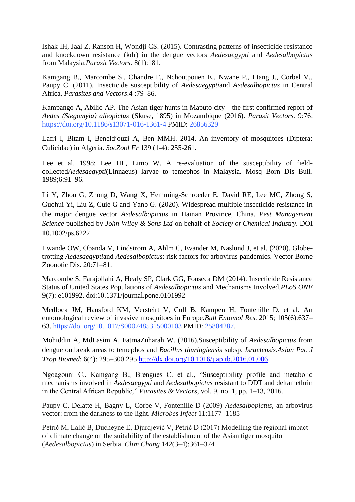Ishak IH, Jaal Z, Ranson H, Wondji CS. (2015). Contrasting patterns of insecticide resistance and knockdown resistance (kdr) in the dengue vectors *Aedesaegypti* and *Aedesalbopictus* from Malaysia.*Parasit Vectors*. 8(1):181.

Kamgang B., Marcombe S., Chandre F., Nchoutpouen E., Nwane P., Etang J., Corbel V., Paupy C. (2011). Insecticide susceptibility of *Aedesaegypti*and *Aedesalbopictus* in Central Africa, *Parasites and Vectors*.4 :79–86.

Kampango A, Abilio AP. The Asian tiger hunts in Maputo city—the first confirmed report of *Aedes (Stegomyia) albopictus* (Skuse, 1895) in Mozambique (2016). *Parasit Vectors.* 9:76. https://doi.org/10.1186/s13071-016-1361-4 PMID: 26856329

Lafri I, Bitam I, Beneldjouzi A, Ben MMH. 2014. An inventory of mosquitoes (Diptera: Culicidae) in Algeria. *SocZool Fr* 139 (1-4): 255-261.

Lee et al. 1998; Lee HL, Limo W. A re-evaluation of the susceptibility of fieldcollected*Aedesaegypti*(Linnaeus) larvae to temephos in Malaysia. Mosq Born Dis Bull. 1989;6:91–96.

Li Y, Zhou G, Zhong D, Wang X, Hemming-Schroeder E, David RE, Lee MC, Zhong S, Guohui Yi, Liu Z, Cuie G and Yanb G. (2020). Widespread multiple insecticide resistance in the major dengue vector *Aedesalbopictus* in Hainan Province, China. *Pest Management Science* published by *John Wiley & Sons Ltd* on behalf of *Society of Chemical Industry*. DOI 10.1002/ps.6222

Lwande OW, Obanda V, Lindstrom A, Ahlm C, Evander M, Naslund J, et al. (2020). Globetrotting *Aedesaegypti*and *Aedesalbopictus*: risk factors for arbovirus pandemics. Vector Borne Zoonotic Dis. 20:71–81.

Marcombe S, Farajollahi A, Healy SP, Clark GG, Fonseca DM (2014). Insecticide Resistance Status of United States Populations of *Aedesalbopictus* and Mechanisms Involved.*PLoS ONE*  9(7): e101992. doi:10.1371/journal.pone.0101992

Medlock JM, Hansford KM, Versteirt V, Cull B, Kampen H, Fontenille D, et al. An entomological review of invasive mosquitoes in Europe.*Bull Entomol Res*. 2015; 105(6):637– 63. https://doi.org/10.1017/S0007485315000103 PMID: 25804287.

Mohiddin A, MdLasim A, FatmaZuharah W. (2016).Susceptibility of *Aedesalbopictus* from dengue outbreak areas to temephos and *Bacillus thuringiensis* subsp. *Israelensis*.*Asian Pac J Trop Biomed*; 6(4): 295–300 295<http://dx.doi.org/10.1016/j.apjtb.2016.01.006>

Ngoagouni C., Kamgang B., Brengues C. et al., "Susceptibility profile and metabolic mechanisms involved in *Aedesaegypti* and *Aedesalbopictus* resistant to DDT and deltamethrin in the Central African Republic," *Parasites & Vectors*, vol. 9, no. 1, pp. 1–13, 2016.

Paupy C, Delatte H, Bagny L, Corbe V, Fontenille D (2009) *Aedesalbopictus*, an arbovirus vector: from the darkness to the light. *Microbes Infect* 11:1177–1185

Petrić M, Lalić B, Duchevne E, Djurdjević V, Petrić D (2017) Modelling the regional impact of climate change on the suitability of the establishment of the Asian tiger mosquito (*Aedesalbopictus*) in Serbia. *Clim Chang* 142(3–4):361–374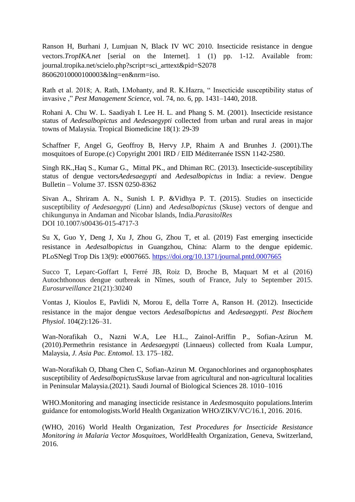Ranson H, Burhani J, Lumjuan N, Black IV WC 2010. Insecticide resistance in dengue vectors.*TropIKA.net* [serial on the Internet]. 1 (1) pp. 1-12. Available from: journal.tropika.net/scielo.php?script=sci\_arttext&pid=S2078 86062010000100003&lng=en&nrm=iso.

Rath et al. 2018; A. Rath, I.Mohanty, and R. K.Hazra, " Insecticide susceptibility status of invasive," *Pest Management Science*, vol. 74, no. 6, pp. 1431–1440, 2018.

Rohani A. Chu W. L. Saadiyah I. Lee H. L. and Phang S. M. (2001). Insecticide resistance status of *Aedesalbopictus* and *Aedesaegypti* collected from urban and rural areas in major towns of Malaysia. Tropical Biomedicine 18(1): 29-39

Schaffner F, Angel G, Geoffroy B, Hervy J.P, Rhaim A and Brunhes J. (2001).The mosquitoes of Europe.(c) Copyright 2001 IRD / EID Méditerranée ISSN 1142-2580.

Singh RK.,Haq S., Kumar G., Mittal PK., and Dhiman RC. (2013). Insecticide-susceptibility status of dengue vectors*Aedesaegypti* and *Aedesalbopictus* in India: a review. Dengue Bulletin – Volume 37. ISSN 0250-8362

Sivan A., Shriram A. N., Sunish I. P. &Vidhya P. T. (2015). Studies on insecticide susceptibility *of Aedesaegypti* (Linn) and *Aedesalbopictus* (Skuse) vectors of dengue and chikungunya in Andaman and Nicobar Islands, India.*ParasitolRes* DOI 10.1007/s00436-015-4717-3

Su X, Guo Y, Deng J, Xu J, Zhou G, Zhou T, et al. (2019) Fast emerging insecticide resistance in *Aedesalbopictus* in Guangzhou, China: Alarm to the dengue epidemic. PLoSNegl Trop Dis 13(9): e0007665.<https://doi.org/10.1371/journal.pntd.0007665>

Succo T, Leparc-Goffart I, Ferré JB, Roiz D, Broche B, Maquart M et al (2016) Autochthonous dengue outbreak in Nîmes, south of France, July to September 2015. *Eurosurveillance* 21(21):30240

Vontas J, Kioulos E, Pavlidi N, Morou E, della Torre A, Ranson H. (2012). Insecticide resistance in the major dengue vectors *Aedesalbopictus* and *Aedesaegypti*. *Pest Biochem Physiol*. 104(2):126–31.

Wan-Norafikah O., Nazni W.A, Lee H.L., Zainol-Ariffin P., Sofian-Azirun M. (2010).Permethrin resistance in *Aedesaegypti* (Linnaeus) collected from Kuala Lumpur, Malaysia*, J. Asia Pac. Entomol.* 13. 175–182.

Wan-Norafikah O, Dhang Chen C, Sofian-Azirun M. Organochlorines and organophosphates susceptibility of *Aedesalbopictus*Skuse larvae from agricultural and non-agricultural localities in Peninsular Malaysia.(2021). Saudi Journal of Biological Sciences 28. 1010–1016

WHO.Monitoring and managing insecticide resistance in *Aedes*mosquito populations.Interim guidance for entomologists.World Health Organization WHO/ZIKV/VC/16.1, 2016. 2016.

(WHO, 2016) World Health Organization, *Test Procedures for Insecticide Resistance Monitoring in Malaria Vector Mosquitoes*, WorldHealth Organization, Geneva, Switzerland, 2016.